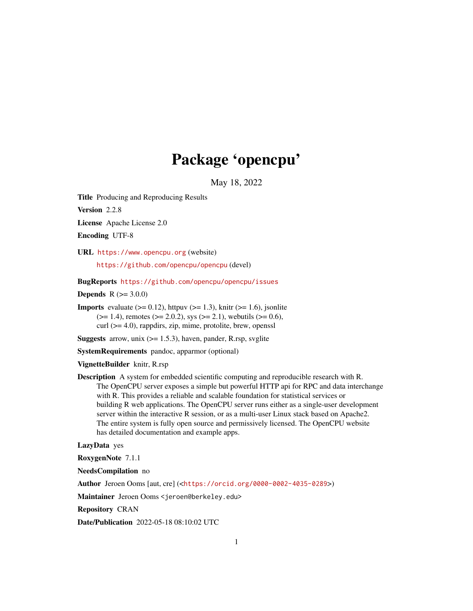## Package 'opencpu'

May 18, 2022

<span id="page-0-0"></span>Title Producing and Reproducing Results

Version 2.2.8

License Apache License 2.0

Encoding UTF-8

URL <https://www.opencpu.org> (website)

<https://github.com/opencpu/opencpu> (devel)

BugReports <https://github.com/opencpu/opencpu/issues>

**Depends**  $R (= 3.0.0)$ 

**Imports** evaluate  $(>= 0.12)$ , httpuv  $(>= 1.3)$ , knitr  $(>= 1.6)$ , jsonlite  $(>= 1.4)$ , remotes  $(>= 2.0.2)$ , sys  $(>= 2.1)$ , webutils  $(>= 0.6)$ , curl (>= 4.0), rappdirs, zip, mime, protolite, brew, openssl

**Suggests** arrow, unix  $(>= 1.5.3)$ , haven, pander, R.rsp, svglite

SystemRequirements pandoc, apparmor (optional)

VignetteBuilder knitr, R.rsp

Description A system for embedded scientific computing and reproducible research with R. The OpenCPU server exposes a simple but powerful HTTP api for RPC and data interchange with R. This provides a reliable and scalable foundation for statistical services or building R web applications. The OpenCPU server runs either as a single-user development server within the interactive R session, or as a multi-user Linux stack based on Apache2. The entire system is fully open source and permissively licensed. The OpenCPU website has detailed documentation and example apps.

LazyData yes

RoxygenNote 7.1.1

NeedsCompilation no

Author Jeroen Ooms [aut, cre] (<<https://orcid.org/0000-0002-4035-0289>>)

Maintainer Jeroen Ooms <jeroen@berkeley.edu>

Repository CRAN

Date/Publication 2022-05-18 08:10:02 UTC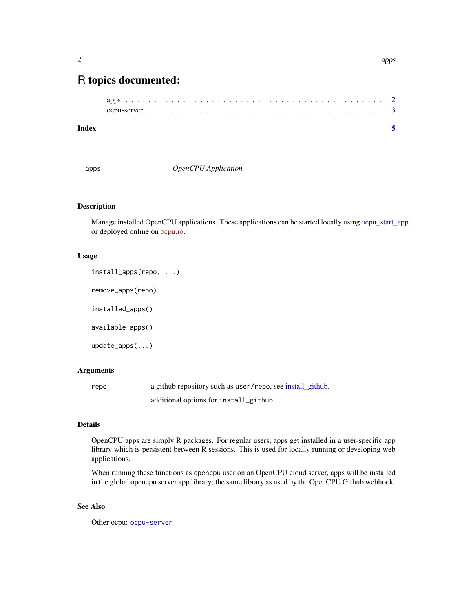### <span id="page-1-0"></span>R topics documented:

```
apps . . . . . . . . . . . . . . . . . . . . . . . . . . . . . . . . . . . . . . . . . . . . . 2
ocpu-server . . . . . . . . . . . . . . . . . . . . . . . . . . . . . . . . . . . . . . . . . 3
```
#### **Index** [5](#page-4-0). The second state of the second state of the second state of the second state of the second state of the second state of the second state of the second state of the second state of the second state of the second

<span id="page-1-2"></span>apps *OpenCPU Application*

#### <span id="page-1-1"></span>Description

Manage installed OpenCPU applications. These applications can be started locally using [ocpu\\_start\\_app](#page-2-1) or deployed online on [ocpu.io.](https://ocpu.io)

#### Usage

install\_apps(repo, ...) remove\_apps(repo) installed\_apps() available\_apps() update\_apps(...)

#### **Arguments**

| repo    | a github repository such as user/repo, see install_github. |
|---------|------------------------------------------------------------|
| $\cdot$ | additional options for install_github                      |

#### Details

OpenCPU apps are simply R packages. For regular users, apps get installed in a user-specific app library which is persistent between R sessions. This is used for locally running or developing web applications.

When running these functions as opencpu user on an OpenCPU cloud server, apps will be installed in the global opencpu server app library; the same library as used by the OpenCPU Github webhook.

#### See Also

Other ocpu: [ocpu-server](#page-2-2)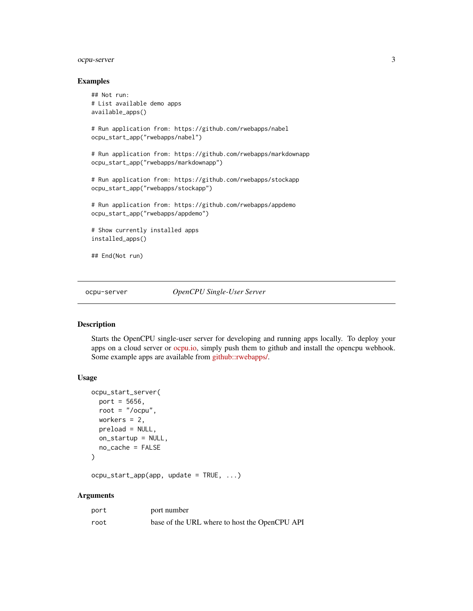#### <span id="page-2-0"></span>ocpu-server 3

#### Examples

```
## Not run:
# List available demo apps
available_apps()
# Run application from: https://github.com/rwebapps/nabel
ocpu_start_app("rwebapps/nabel")
# Run application from: https://github.com/rwebapps/markdownapp
ocpu_start_app("rwebapps/markdownapp")
# Run application from: https://github.com/rwebapps/stockapp
ocpu_start_app("rwebapps/stockapp")
# Run application from: https://github.com/rwebapps/appdemo
ocpu_start_app("rwebapps/appdemo")
# Show currently installed apps
installed_apps()
## End(Not run)
```
<span id="page-2-2"></span>ocpu-server *OpenCPU Single-User Server*

#### <span id="page-2-1"></span>Description

Starts the OpenCPU single-user server for developing and running apps locally. To deploy your apps on a cloud server or [ocpu.io,](https://ocpu.io) simply push them to github and install the opencpu webhook. Some example apps are available from [github::rwebapps/.](https://github.com/rwebapps)

#### Usage

```
ocpu_start_server(
 port = 5656,
 root = " /ocpu",
 workers = 2,
 preload = NULL,
 on_startup = NULL,
 no_cache = FALSE
)
```
ocpu\_start\_app(app, update = TRUE, ...)

#### Arguments

| port | port number                                   |
|------|-----------------------------------------------|
| root | base of the URL where to host the OpenCPU API |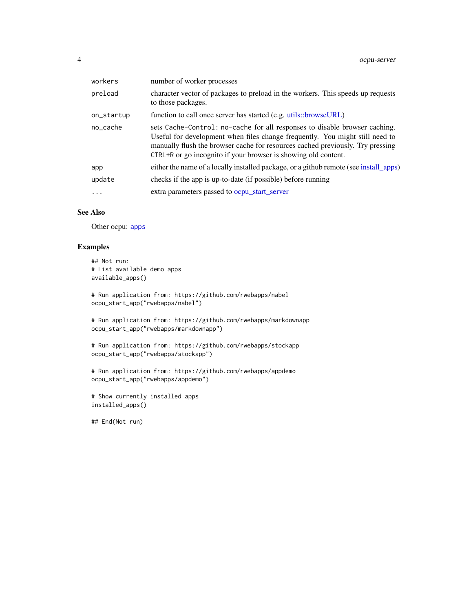<span id="page-3-0"></span>

| workers                 | number of worker processes                                                                                                                                                                                                                                                                                     |
|-------------------------|----------------------------------------------------------------------------------------------------------------------------------------------------------------------------------------------------------------------------------------------------------------------------------------------------------------|
| preload                 | character vector of packages to preload in the workers. This speeds up requests<br>to those packages.                                                                                                                                                                                                          |
| on_startup              | function to call once server has started (e.g. utils::browseURL)                                                                                                                                                                                                                                               |
| no cache                | sets Cache-Control: no-cache for all responses to disable browser caching.<br>Useful for development when files change frequently. You might still need to<br>manually flush the browser cache for resources cached previously. Try pressing<br>CTRL+R or go incognito if your browser is showing old content. |
| app                     | either the name of a locally installed package, or a github remote (see install apps)                                                                                                                                                                                                                          |
| update                  | checks if the app is up-to-date (if possible) before running                                                                                                                                                                                                                                                   |
| $\cdot$ $\cdot$ $\cdot$ | extra parameters passed to ocpu_start_server                                                                                                                                                                                                                                                                   |
|                         |                                                                                                                                                                                                                                                                                                                |

#### See Also

Other ocpu: [apps](#page-1-2)

#### Examples

```
## Not run:
# List available demo apps
available_apps()
# Run application from: https://github.com/rwebapps/nabel
ocpu_start_app("rwebapps/nabel")
# Run application from: https://github.com/rwebapps/markdownapp
ocpu_start_app("rwebapps/markdownapp")
# Run application from: https://github.com/rwebapps/stockapp
ocpu_start_app("rwebapps/stockapp")
```

```
# Run application from: https://github.com/rwebapps/appdemo
ocpu_start_app("rwebapps/appdemo")
```

```
# Show currently installed apps
installed_apps()
```
## End(Not run)